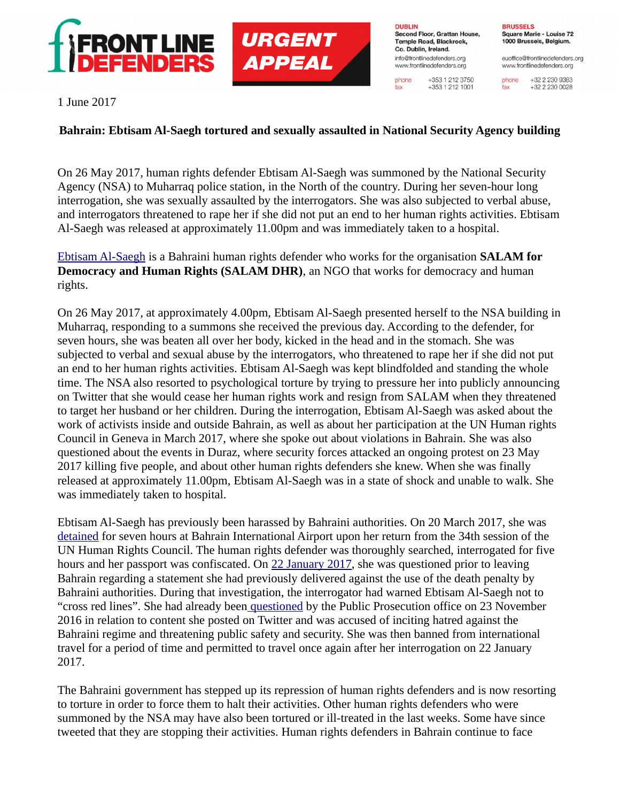

**DUBLIN** Second Floor, Grattan House, Temple Road, Blackrock. Co. Dublin, Ireland. info@frontlinedefenders.org www.frontlinedefenders.org

phone

fax

+353 1 212 3750

 $+353$  1 212 1001

**BRUSSELS** Square Marie - Louise 72 1000 Brussels, Belgium.

euoffice@frontlinedefenders.org www.frontlinedefenders.org

+32 2 230 9383 phone +32 2 230 0028 fax

1 June 2017

## **Bahrain: Ebtisam Al-Saegh tortured and sexually assaulted in National Security Agency building**

On 26 May 2017, human rights defender Ebtisam Al-Saegh was summoned by the National Security Agency (NSA) to Muharraq police station, in the North of the country. During her seven-hour long interrogation, she was sexually assaulted by the interrogators. She was also subjected to verbal abuse, and interrogators threatened to rape her if she did not put an end to her human rights activities. Ebtisam Al-Saegh was released at approximately 11.00pm and was immediately taken to a hospital.

[Ebtisam Al-Saegh](https://www.frontlinedefenders.org/en/profile/ebtisam-al-saegh) is a Bahraini human rights defender who works for the organisation **SALAM for Democracy and Human Rights (SALAM DHR)**, an NGO that works for democracy and human rights.

On 26 May 2017, at approximately 4.00pm, Ebtisam Al-Saegh presented herself to the NSA building in Muharraq, responding to a summons she received the previous day. According to the defender, for seven hours, she was beaten all over her body, kicked in the head and in the stomach. She was subjected to verbal and sexual abuse by the interrogators, who threatened to rape her if she did not put an end to her human rights activities. Ebtisam Al-Saegh was kept blindfolded and standing the whole time. The NSA also resorted to psychological torture by trying to pressure her into publicly announcing on Twitter that she would cease her human rights work and resign from SALAM when they threatened to target her husband or her children. During the interrogation, Ebtisam Al-Saegh was asked about the work of activists inside and outside Bahrain, as well as about her participation at the UN Human rights Council in Geneva in March 2017, where she spoke out about violations in Bahrain. She was also questioned about the events in Duraz, where security forces attacked an ongoing protest on 23 May 2017 killing five people, and about other human rights defenders she knew. When she was finally released at approximately 11.00pm, Ebtisam Al-Saegh was in a state of shock and unable to walk. She was immediately taken to hospital.

Ebtisam Al-Saegh has previously been harassed by Bahraini authorities. On 20 March 2017, she was [detained](https://www.frontlinedefenders.org/en/case/authorities-subject-ebtisam-al-saegh-further-judicial-harassment) for seven hours at Bahrain International Airport upon her return from the 34th session of the UN Human Rights Council. The human rights defender was thoroughly searched, interrogated for five hours and her passport was confiscated. On [22 January 2017,](https://www.frontlinedefenders.org/en/case/authorities-subject-ebtisam-al-saegh-further-judicial-harassment#case-update-id-5022) she was questioned prior to leaving Bahrain regarding a statement she had previously delivered against the use of the death penalty by Bahraini authorities. During that investigation, the interrogator had warned Ebtisam Al-Saegh not to "cross red lines". She had already bee[n questioned](https://www.frontlinedefenders.org/en/case/ebtisam-al-saegh-summoned-interrogation) by the Public Prosecution office on 23 November 2016 in relation to content she posted on Twitter and was accused of inciting hatred against the Bahraini regime and threatening public safety and security. She was then banned from international travel for a period of time and permitted to travel once again after her interrogation on 22 January 2017.

The Bahraini government has stepped up its repression of human rights defenders and is now resorting to torture in order to force them to halt their activities. Other human rights defenders who were summoned by the NSA may have also been tortured or ill-treated in the last weeks. Some have since tweeted that they are stopping their activities. Human rights defenders in Bahrain continue to face